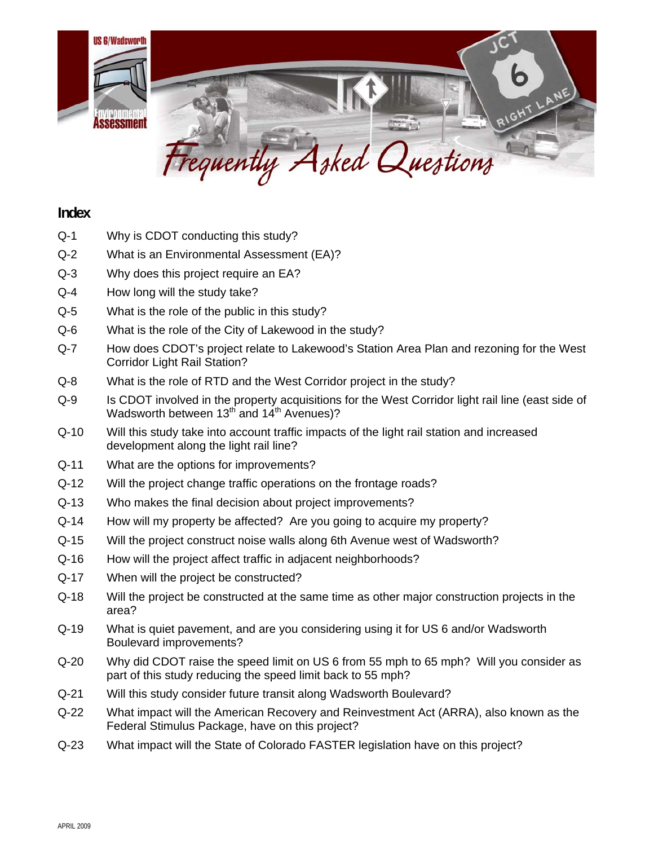

# **Index**

- Q-1 Why is CDOT conducting this study?
- Q-2 What is an Environmental Assessment (EA)?
- Q-3 Why does this project require an EA?
- Q-4 How long will the study take?
- Q-5 What is the role of the public in this study?
- Q-6 What is the role of the City of Lakewood in the study?
- Q-7 How does CDOT's project relate to Lakewood's Station Area Plan and rezoning for the West Corridor Light Rail Station?
- Q-8 What is the role of RTD and the West Corridor project in the study?
- Q-9 Is CDOT involved in the property acquisitions for the West Corridor light rail line (east side of Wadsworth between 13<sup>th</sup> and 14<sup>th</sup> Avenues)?
- Q-10 Will this study take into account traffic impacts of the light rail station and increased development along the light rail line?
- Q-11 What are the options for improvements?
- Q-12 Will the project change traffic operations on the frontage roads?
- Q-13 Who makes the final decision about project improvements?
- Q-14 How will my property be affected? Are you going to acquire my property?
- Q-15 Will the project construct noise walls along 6th Avenue west of Wadsworth?
- Q-16 How will the project affect traffic in adjacent neighborhoods?
- Q-17 When will the project be constructed?
- Q-18 Will the project be constructed at the same time as other major construction projects in the area?
- Q-19 What is quiet pavement, and are you considering using it for US 6 and/or Wadsworth Boulevard improvements?
- Q-20 Why did CDOT raise the speed limit on US 6 from 55 mph to 65 mph? Will you consider as part of this study reducing the speed limit back to 55 mph?
- Q-21 Will this study consider future transit along Wadsworth Boulevard?
- Q-22 What impact will the American Recovery and Reinvestment Act (ARRA), also known as the Federal Stimulus Package, have on this project?
- Q-23 What impact will the State of Colorado FASTER legislation have on this project?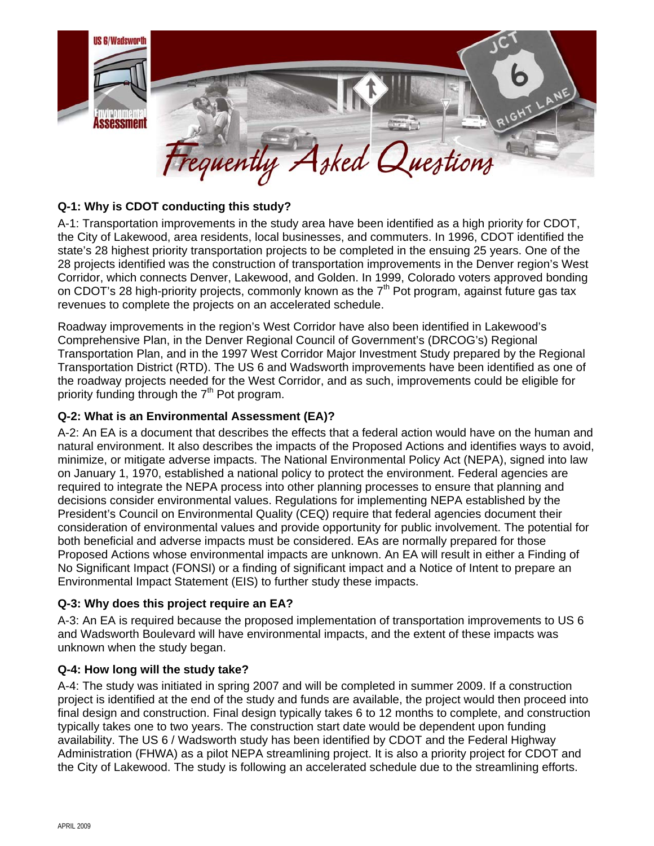

## **Q-1: Why is CDOT conducting this study?**

A-1: Transportation improvements in the study area have been identified as a high priority for CDOT, the City of Lakewood, area residents, local businesses, and commuters. In 1996, CDOT identified the state's 28 highest priority transportation projects to be completed in the ensuing 25 years. One of the 28 projects identified was the construction of transportation improvements in the Denver region's West Corridor, which connects Denver, Lakewood, and Golden. In 1999, Colorado voters approved bonding on CDOT's 28 high-priority projects, commonly known as the  $7<sup>th</sup>$  Pot program, against future gas tax revenues to complete the projects on an accelerated schedule.

Roadway improvements in the region's West Corridor have also been identified in Lakewood's Comprehensive Plan, in the Denver Regional Council of Government's (DRCOG's) Regional Transportation Plan, and in the 1997 West Corridor Major Investment Study prepared by the Regional Transportation District (RTD). The US 6 and Wadsworth improvements have been identified as one of the roadway projects needed for the West Corridor, and as such, improvements could be eligible for priority funding through the  $7<sup>th</sup>$  Pot program.

## **Q-2: What is an Environmental Assessment (EA)?**

A-2: An EA is a document that describes the effects that a federal action would have on the human and natural environment. It also describes the impacts of the Proposed Actions and identifies ways to avoid, minimize, or mitigate adverse impacts. The National Environmental Policy Act (NEPA), signed into law on January 1, 1970, established a national policy to protect the environment. Federal agencies are required to integrate the NEPA process into other planning processes to ensure that planning and decisions consider environmental values. Regulations for implementing NEPA established by the President's Council on Environmental Quality (CEQ) require that federal agencies document their consideration of environmental values and provide opportunity for public involvement. The potential for both beneficial and adverse impacts must be considered. EAs are normally prepared for those Proposed Actions whose environmental impacts are unknown. An EA will result in either a Finding of No Significant Impact (FONSI) or a finding of significant impact and a Notice of Intent to prepare an Environmental Impact Statement (EIS) to further study these impacts.

## **Q-3: Why does this project require an EA?**

A-3: An EA is required because the proposed implementation of transportation improvements to US 6 and Wadsworth Boulevard will have environmental impacts, and the extent of these impacts was unknown when the study began.

## **Q-4: How long will the study take?**

A-4: The study was initiated in spring 2007 and will be completed in summer 2009. If a construction project is identified at the end of the study and funds are available, the project would then proceed into final design and construction. Final design typically takes 6 to 12 months to complete, and construction typically takes one to two years. The construction start date would be dependent upon funding availability. The US 6 / Wadsworth study has been identified by CDOT and the Federal Highway Administration (FHWA) as a pilot NEPA streamlining project. It is also a priority project for CDOT and the City of Lakewood. The study is following an accelerated schedule due to the streamlining efforts.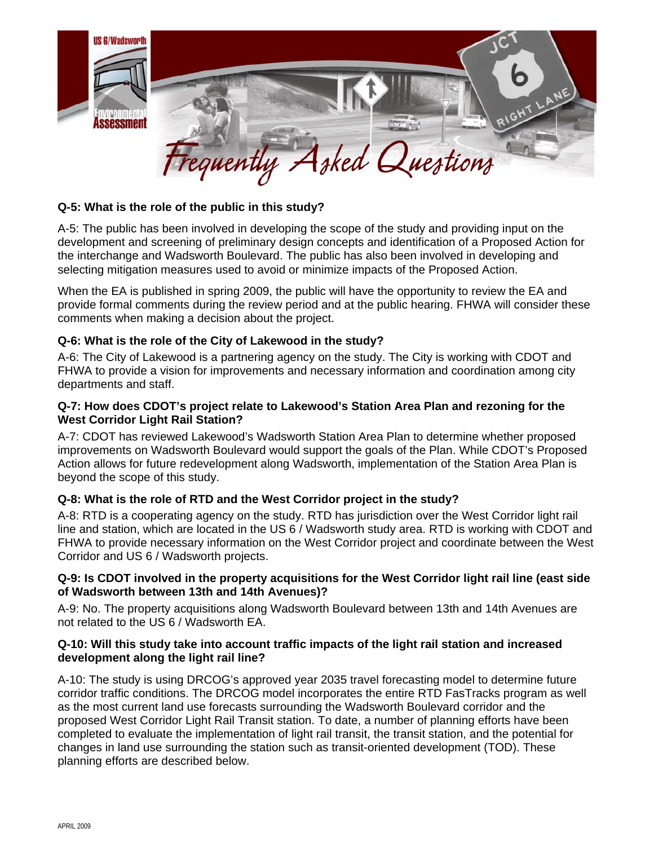

## **Q-5: What is the role of the public in this study?**

A-5: The public has been involved in developing the scope of the study and providing input on the development and screening of preliminary design concepts and identification of a Proposed Action for the interchange and Wadsworth Boulevard. The public has also been involved in developing and selecting mitigation measures used to avoid or minimize impacts of the Proposed Action.

When the EA is published in spring 2009, the public will have the opportunity to review the EA and provide formal comments during the review period and at the public hearing. FHWA will consider these comments when making a decision about the project.

#### **Q-6: What is the role of the City of Lakewood in the study?**

A-6: The City of Lakewood is a partnering agency on the study. The City is working with CDOT and FHWA to provide a vision for improvements and necessary information and coordination among city departments and staff.

#### **Q-7: How does CDOT's project relate to Lakewood's Station Area Plan and rezoning for the West Corridor Light Rail Station?**

A-7: CDOT has reviewed Lakewood's Wadsworth Station Area Plan to determine whether proposed improvements on Wadsworth Boulevard would support the goals of the Plan. While CDOT's Proposed Action allows for future redevelopment along Wadsworth, implementation of the Station Area Plan is beyond the scope of this study.

## **Q-8: What is the role of RTD and the West Corridor project in the study?**

A-8: RTD is a cooperating agency on the study. RTD has jurisdiction over the West Corridor light rail line and station, which are located in the US 6 / Wadsworth study area. RTD is working with CDOT and FHWA to provide necessary information on the West Corridor project and coordinate between the West Corridor and US 6 / Wadsworth projects.

#### **Q-9: Is CDOT involved in the property acquisitions for the West Corridor light rail line (east side of Wadsworth between 13th and 14th Avenues)?**

A-9: No. The property acquisitions along Wadsworth Boulevard between 13th and 14th Avenues are not related to the US 6 / Wadsworth EA.

#### **Q-10: Will this study take into account traffic impacts of the light rail station and increased development along the light rail line?**

A-10: The study is using DRCOG's approved year 2035 travel forecasting model to determine future corridor traffic conditions. The DRCOG model incorporates the entire RTD FasTracks program as well as the most current land use forecasts surrounding the Wadsworth Boulevard corridor and the proposed West Corridor Light Rail Transit station. To date, a number of planning efforts have been completed to evaluate the implementation of light rail transit, the transit station, and the potential for changes in land use surrounding the station such as transit-oriented development (TOD). These planning efforts are described below.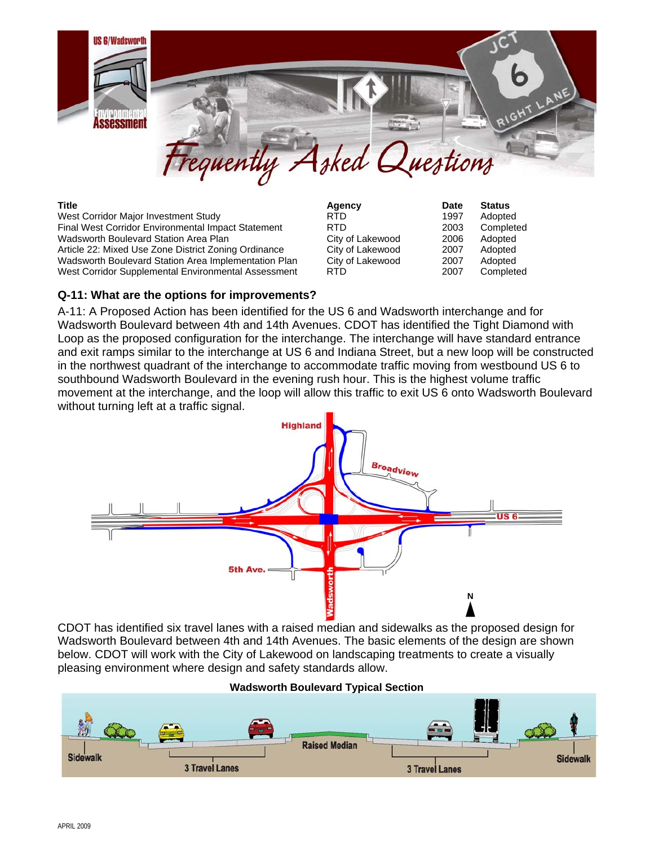

West Corridor Major Investment Study **RTD** RTD 1997 Adopted Final West Corridor Environmental Impact Statement RTD 2003 Completed Wadsworth Boulevard Station Area Plan City of Lakewood 2006 Adopted Article 22: Mixed Use Zone District Zoning Ordinance City of Lakewood 2007 Adopted Wadsworth Boulevard Station Area Implementation Plan City of Lakewood 2007 Adopted West Corridor Supplemental Environmental Assessment RTD 2007 Completed

**Title Agency Date Status**

## **Q-11: What are the options for improvements?**

A-11: A Proposed Action has been identified for the US 6 and Wadsworth interchange and for Wadsworth Boulevard between 4th and 14th Avenues. CDOT has identified the Tight Diamond with Loop as the proposed configuration for the interchange. The interchange will have standard entrance and exit ramps similar to the interchange at US 6 and Indiana Street, but a new loop will be constructed in the northwest quadrant of the interchange to accommodate traffic moving from westbound US 6 to southbound Wadsworth Boulevard in the evening rush hour. This is the highest volume traffic movement at the interchange, and the loop will allow this traffic to exit US 6 onto Wadsworth Boulevard without turning left at a traffic signal.



CDOT has identified six travel lanes with a raised median and sidewalks as the proposed design for Wadsworth Boulevard between 4th and 14th Avenues. The basic elements of the design are shown below. CDOT will work with the City of Lakewood on landscaping treatments to create a visually pleasing environment where design and safety standards allow.

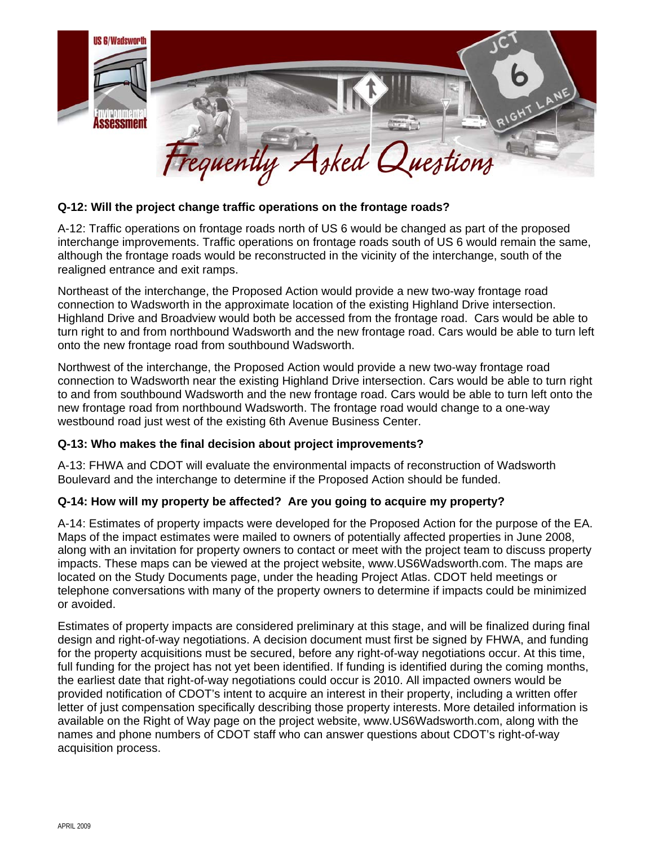

## **Q-12: Will the project change traffic operations on the frontage roads?**

A-12: Traffic operations on frontage roads north of US 6 would be changed as part of the proposed interchange improvements. Traffic operations on frontage roads south of US 6 would remain the same, although the frontage roads would be reconstructed in the vicinity of the interchange, south of the realigned entrance and exit ramps.

Northeast of the interchange, the Proposed Action would provide a new two-way frontage road connection to Wadsworth in the approximate location of the existing Highland Drive intersection. Highland Drive and Broadview would both be accessed from the frontage road. Cars would be able to turn right to and from northbound Wadsworth and the new frontage road. Cars would be able to turn left onto the new frontage road from southbound Wadsworth.

Northwest of the interchange, the Proposed Action would provide a new two-way frontage road connection to Wadsworth near the existing Highland Drive intersection. Cars would be able to turn right to and from southbound Wadsworth and the new frontage road. Cars would be able to turn left onto the new frontage road from northbound Wadsworth. The frontage road would change to a one-way westbound road just west of the existing 6th Avenue Business Center.

## **Q-13: Who makes the final decision about project improvements?**

A-13: FHWA and CDOT will evaluate the environmental impacts of reconstruction of Wadsworth Boulevard and the interchange to determine if the Proposed Action should be funded.

## **Q-14: How will my property be affected? Are you going to acquire my property?**

A-14: Estimates of property impacts were developed for the Proposed Action for the purpose of the EA. Maps of the impact estimates were mailed to owners of potentially affected properties in June 2008, along with an invitation for property owners to contact or meet with the project team to discuss property impacts. These maps can be viewed at the project website, www.US6Wadsworth.com. The maps are located on the Study Documents page, under the heading Project Atlas. CDOT held meetings or telephone conversations with many of the property owners to determine if impacts could be minimized or avoided.

Estimates of property impacts are considered preliminary at this stage, and will be finalized during final design and right-of-way negotiations. A decision document must first be signed by FHWA, and funding for the property acquisitions must be secured, before any right-of-way negotiations occur. At this time, full funding for the project has not yet been identified. If funding is identified during the coming months, the earliest date that right-of-way negotiations could occur is 2010. All impacted owners would be provided notification of CDOT's intent to acquire an interest in their property, including a written offer letter of just compensation specifically describing those property interests. More detailed information is available on the Right of Way page on the project website, www.US6Wadsworth.com, along with the names and phone numbers of CDOT staff who can answer questions about CDOT's right-of-way acquisition process.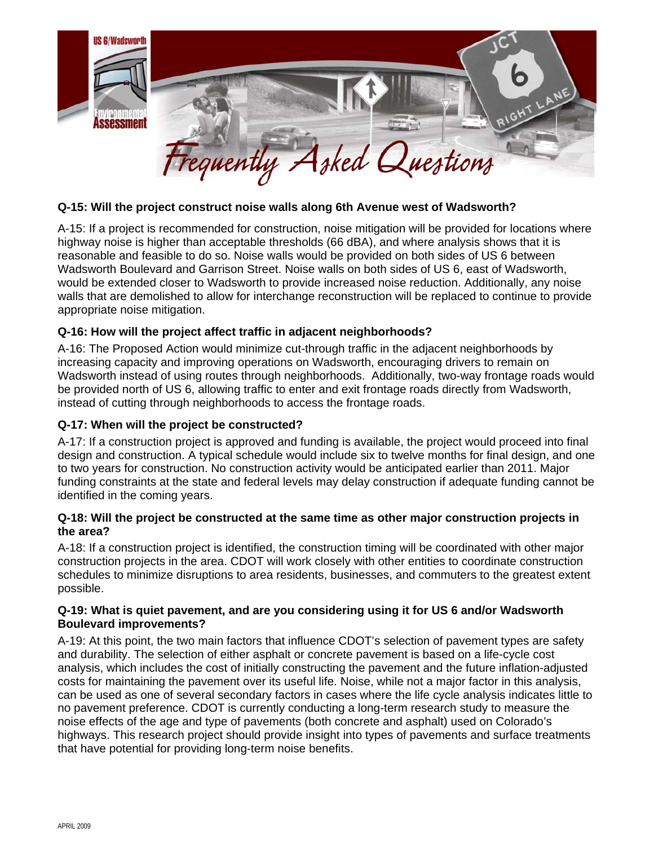

## **Q-15: Will the project construct noise walls along 6th Avenue west of Wadsworth?**

A-15: If a project is recommended for construction, noise mitigation will be provided for locations where highway noise is higher than acceptable thresholds (66 dBA), and where analysis shows that it is reasonable and feasible to do so. Noise walls would be provided on both sides of US 6 between Wadsworth Boulevard and Garrison Street. Noise walls on both sides of US 6, east of Wadsworth, would be extended closer to Wadsworth to provide increased noise reduction. Additionally, any noise walls that are demolished to allow for interchange reconstruction will be replaced to continue to provide appropriate noise mitigation.

## **Q-16: How will the project affect traffic in adjacent neighborhoods?**

A-16: The Proposed Action would minimize cut-through traffic in the adjacent neighborhoods by increasing capacity and improving operations on Wadsworth, encouraging drivers to remain on Wadsworth instead of using routes through neighborhoods. Additionally, two-way frontage roads would be provided north of US 6, allowing traffic to enter and exit frontage roads directly from Wadsworth, instead of cutting through neighborhoods to access the frontage roads.

#### **Q-17: When will the project be constructed?**

A-17: If a construction project is approved and funding is available, the project would proceed into final design and construction. A typical schedule would include six to twelve months for final design, and one to two years for construction. No construction activity would be anticipated earlier than 2011. Major funding constraints at the state and federal levels may delay construction if adequate funding cannot be identified in the coming years.

#### **Q-18: Will the project be constructed at the same time as other major construction projects in the area?**

A-18: If a construction project is identified, the construction timing will be coordinated with other major construction projects in the area. CDOT will work closely with other entities to coordinate construction schedules to minimize disruptions to area residents, businesses, and commuters to the greatest extent possible.

## **Q-19: What is quiet pavement, and are you considering using it for US 6 and/or Wadsworth Boulevard improvements?**

A-19: At this point, the two main factors that influence CDOT's selection of pavement types are safety and durability. The selection of either asphalt or concrete pavement is based on a life-cycle cost analysis, which includes the cost of initially constructing the pavement and the future inflation-adjusted costs for maintaining the pavement over its useful life. Noise, while not a major factor in this analysis, can be used as one of several secondary factors in cases where the life cycle analysis indicates little to no pavement preference. CDOT is currently conducting a long-term research study to measure the noise effects of the age and type of pavements (both concrete and asphalt) used on Colorado's highways. This research project should provide insight into types of pavements and surface treatments that have potential for providing long-term noise benefits.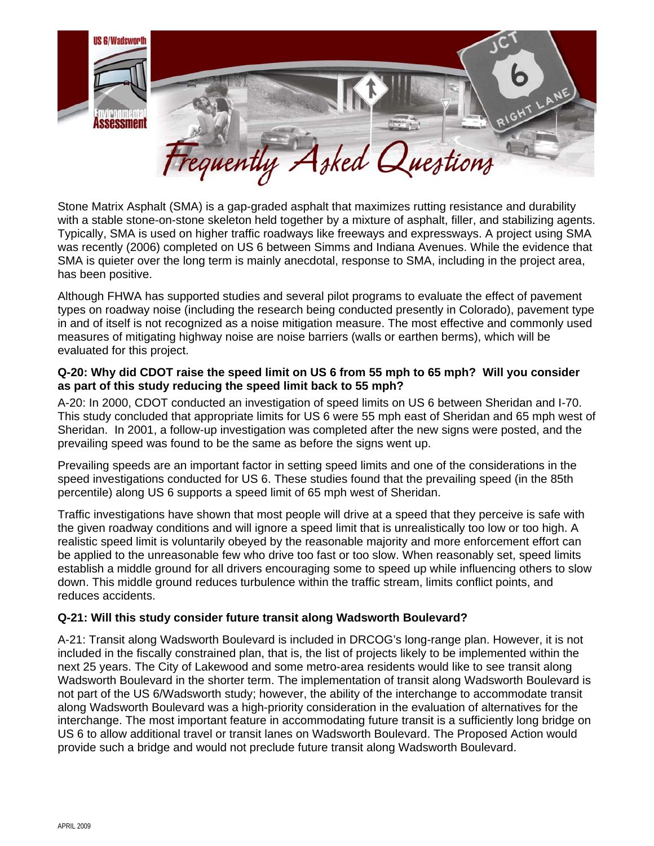

Stone Matrix Asphalt (SMA) is a gap-graded asphalt that maximizes rutting resistance and durability with a stable stone-on-stone skeleton held together by a mixture of asphalt, filler, and stabilizing agents. Typically, SMA is used on higher traffic roadways like freeways and expressways. A project using SMA was recently (2006) completed on US 6 between Simms and Indiana Avenues. While the evidence that SMA is quieter over the long term is mainly anecdotal, response to SMA, including in the project area, has been positive.

Although FHWA has supported studies and several pilot programs to evaluate the effect of pavement types on roadway noise (including the research being conducted presently in Colorado), pavement type in and of itself is not recognized as a noise mitigation measure. The most effective and commonly used measures of mitigating highway noise are noise barriers (walls or earthen berms), which will be evaluated for this project.

## **Q-20: Why did CDOT raise the speed limit on US 6 from 55 mph to 65 mph? Will you consider as part of this study reducing the speed limit back to 55 mph?**

A-20: In 2000, CDOT conducted an investigation of speed limits on US 6 between Sheridan and I-70. This study concluded that appropriate limits for US 6 were 55 mph east of Sheridan and 65 mph west of Sheridan. In 2001, a follow-up investigation was completed after the new signs were posted, and the prevailing speed was found to be the same as before the signs went up.

Prevailing speeds are an important factor in setting speed limits and one of the considerations in the speed investigations conducted for US 6. These studies found that the prevailing speed (in the 85th percentile) along US 6 supports a speed limit of 65 mph west of Sheridan.

Traffic investigations have shown that most people will drive at a speed that they perceive is safe with the given roadway conditions and will ignore a speed limit that is unrealistically too low or too high. A realistic speed limit is voluntarily obeyed by the reasonable majority and more enforcement effort can be applied to the unreasonable few who drive too fast or too slow. When reasonably set, speed limits establish a middle ground for all drivers encouraging some to speed up while influencing others to slow down. This middle ground reduces turbulence within the traffic stream, limits conflict points, and reduces accidents.

## **Q-21: Will this study consider future transit along Wadsworth Boulevard?**

A-21: Transit along Wadsworth Boulevard is included in DRCOG's long-range plan. However, it is not included in the fiscally constrained plan, that is, the list of projects likely to be implemented within the next 25 years. The City of Lakewood and some metro-area residents would like to see transit along Wadsworth Boulevard in the shorter term. The implementation of transit along Wadsworth Boulevard is not part of the US 6/Wadsworth study; however, the ability of the interchange to accommodate transit along Wadsworth Boulevard was a high-priority consideration in the evaluation of alternatives for the interchange. The most important feature in accommodating future transit is a sufficiently long bridge on US 6 to allow additional travel or transit lanes on Wadsworth Boulevard. The Proposed Action would provide such a bridge and would not preclude future transit along Wadsworth Boulevard.